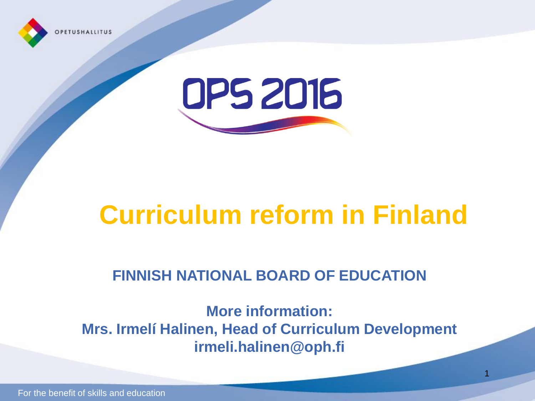



## **Curriculum reform in Finland**

#### **FINNISH NATIONAL BOARD OF EDUCATION**

**More information: Mrs. Irmelí Halinen, Head of Curriculum Development irmeli.halinen@oph.fi**

1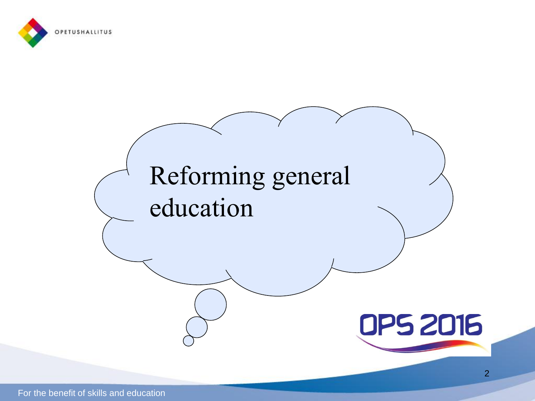

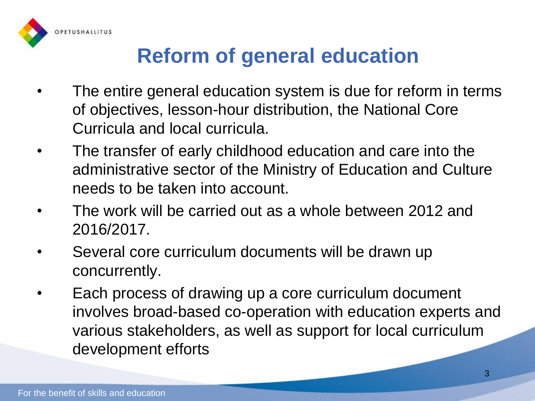

#### **Reform of general education**

- The entire general education system is due for reform in terms of objectives, lesson-hour distribution, the National Core Curricula and local curricula.
- The transfer of early childhood education and care into the administrative sector of the Ministry of Education and Culture needs to be taken into account.
- The work will be carried out as a whole between 2012 and 2016/2017.
- Several core curriculum documents will be drawn up concurrently.
- Each process of drawing up a core curriculum document involves broad-based co-operation with education experts and various stakeholders, as well as support for local curriculum development efforts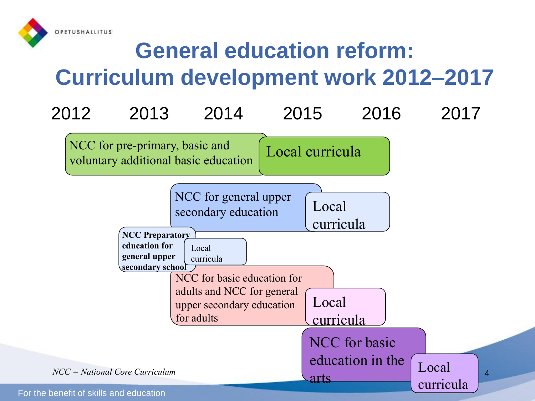

#### **General education reform: Curriculum development work 2012–2017**

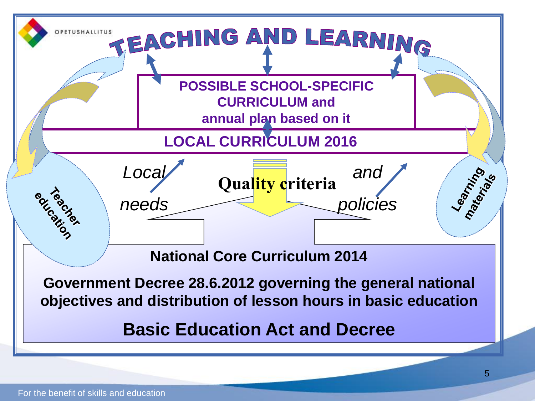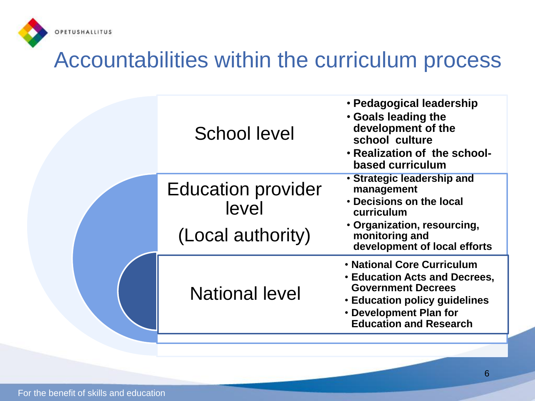

#### Accountabilities within the curriculum process

| School level                                            | · Pedagogical leadership<br>. Goals leading the<br>development of the<br>school culture<br>• Realization of the school-<br>based curriculum                                                    |
|---------------------------------------------------------|------------------------------------------------------------------------------------------------------------------------------------------------------------------------------------------------|
| <b>Education provider</b><br>level<br>(Local authority) | • Strategic leadership and<br>management<br>• Decisions on the local<br>curriculum<br>· Organization, resourcing,<br>monitoring and<br>development of local efforts                            |
| <b>National level</b>                                   | • National Core Curriculum<br><b>Education Acts and Decrees,</b><br><b>Government Decrees</b><br><b>Education policy guidelines</b><br>• Development Plan for<br><b>Education and Research</b> |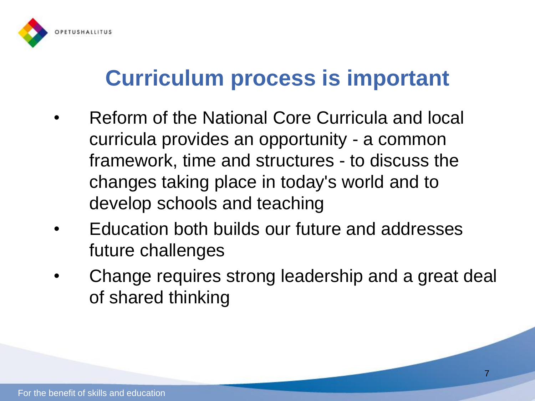

#### **Curriculum process is important**

- Reform of the National Core Curricula and local curricula provides an opportunity - a common framework, time and structures - to discuss the changes taking place in today's world and to develop schools and teaching
- Education both builds our future and addresses future challenges
- Change requires strong leadership and a great deal of shared thinking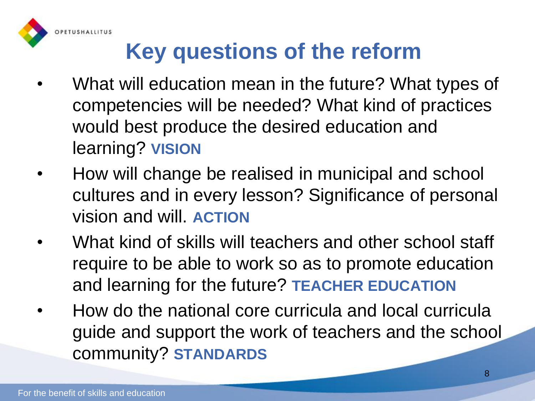

### **Key questions of the reform**

- What will education mean in the future? What types of competencies will be needed? What kind of practices would best produce the desired education and learning? **VISION**
- How will change be realised in municipal and school cultures and in every lesson? Significance of personal vision and will. **ACTION**
- What kind of skills will teachers and other school staff require to be able to work so as to promote education and learning for the future? **TEACHER EDUCATION**
- How do the national core curricula and local curricula guide and support the work of teachers and the school community? **STANDARDS**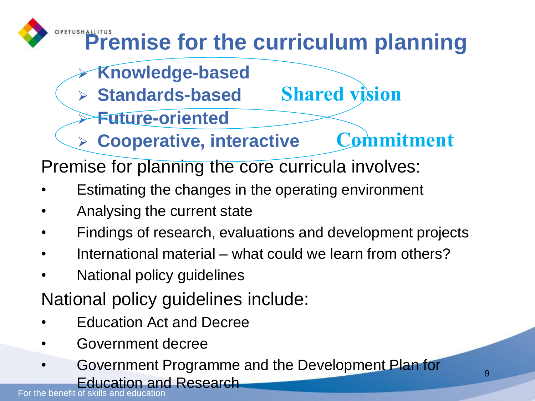

- **Knowledge-based**
- **Standards-based Shared vision**
- **Future-oriented**
- **Cooperative, interactive Commitment**

Premise for planning the core curricula involves:

- Estimating the changes in the operating environment
- Analysing the current state
- Findings of research, evaluations and development projects
- International material what could we learn from others?
- National policy guidelines

National policy guidelines include:

- Education Act and Decree
- Government decree
- Government Programme and the Development Plan for Education and Research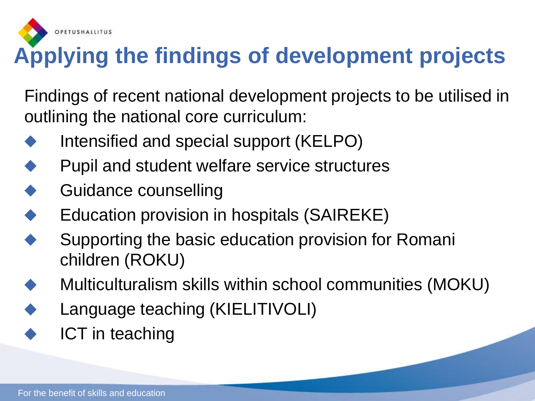

## **Applying the findings of development projects**

Findings of recent national development projects to be utilised in outlining the national core curriculum:

- Intensified and special support (KELPO)
- Pupil and student welfare service structures
- Guidance counselling
- Education provision in hospitals (SAIREKE)
- Supporting the basic education provision for Romani children (ROKU)
- Multiculturalism skills within school communities (MOKU)
- Language teaching (KIELITIVOLI)
- ICT in teaching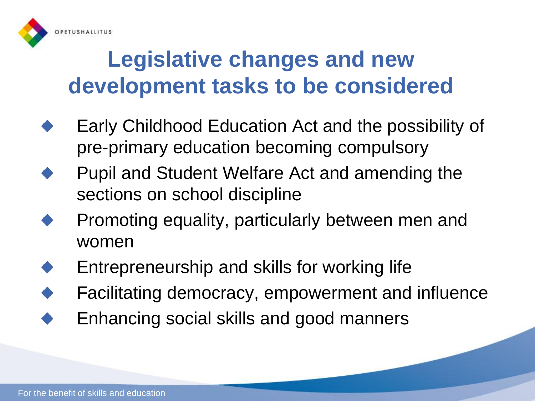

### **Legislative changes and new development tasks to be considered**

- Early Childhood Education Act and the possibility of pre-primary education becoming compulsory
- Pupil and Student Welfare Act and amending the sections on school discipline
- Promoting equality, particularly between men and women
- Entrepreneurship and skills for working life
- Facilitating democracy, empowerment and influence
- Enhancing social skills and good manners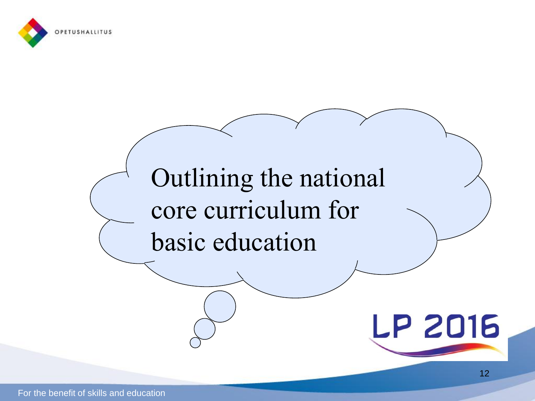

# Outlining the national core curriculum for basic education

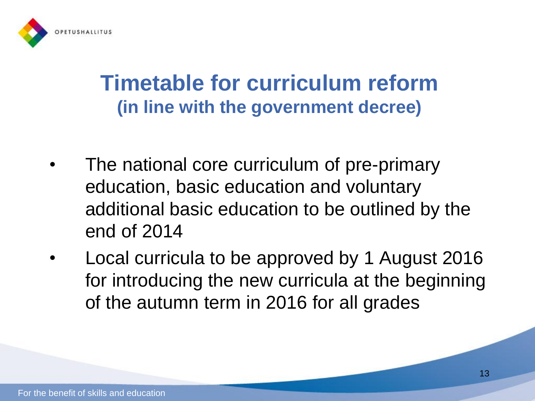

#### **Timetable for curriculum reform (in line with the government decree)**

- The national core curriculum of pre-primary education, basic education and voluntary additional basic education to be outlined by the end of 2014
- Local curricula to be approved by 1 August 2016 for introducing the new curricula at the beginning of the autumn term in 2016 for all grades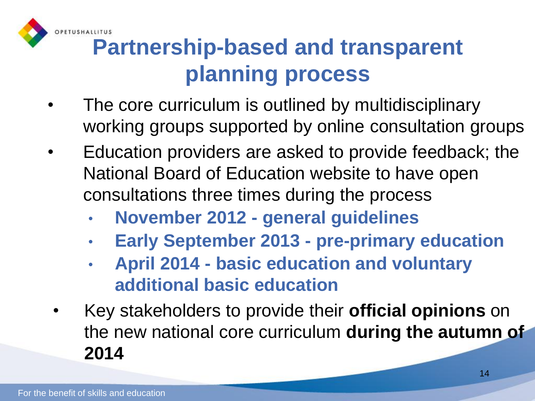

### **Partnership-based and transparent planning process**

- The core curriculum is outlined by multidisciplinary working groups supported by online consultation groups
- Education providers are asked to provide feedback; the National Board of Education website to have open consultations three times during the process
	- **November 2012 - general guidelines**
	- **Early September 2013 - pre-primary education**
	- **April 2014 - basic education and voluntary additional basic education**
- Key stakeholders to provide their **official opinions** on the new national core curriculum **during the autumn of 2014**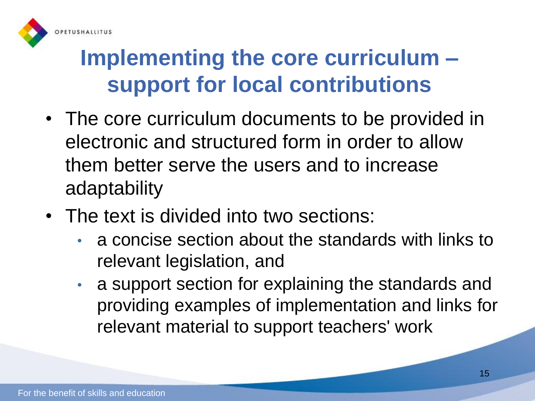

### **Implementing the core curriculum – support for local contributions**

- The core curriculum documents to be provided in electronic and structured form in order to allow them better serve the users and to increase adaptability
- The text is divided into two sections:
	- a concise section about the standards with links to relevant legislation, and
	- a support section for explaining the standards and providing examples of implementation and links for relevant material to support teachers' work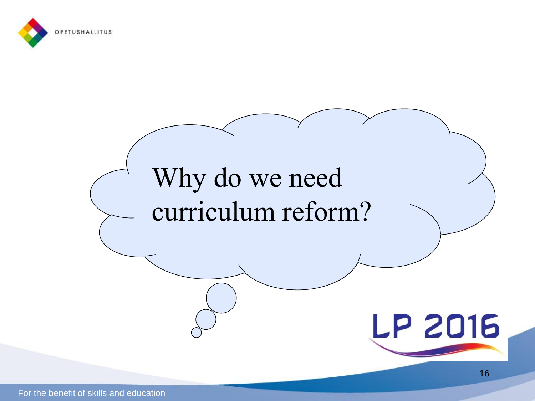

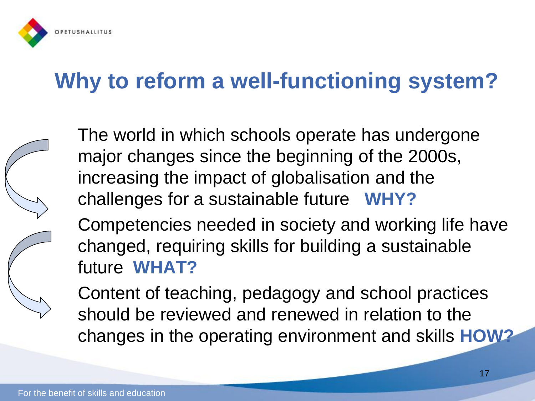

## **Why to reform a well-functioning system?**



The world in which schools operate has undergone major changes since the beginning of the 2000s, increasing the impact of globalisation and the challenges for a sustainable future **WHY?**

Competencies needed in society and working life have changed, requiring skills for building a sustainable future **WHAT?**

Content of teaching, pedagogy and school practices should be reviewed and renewed in relation to the changes in the operating environment and skills **HOW?**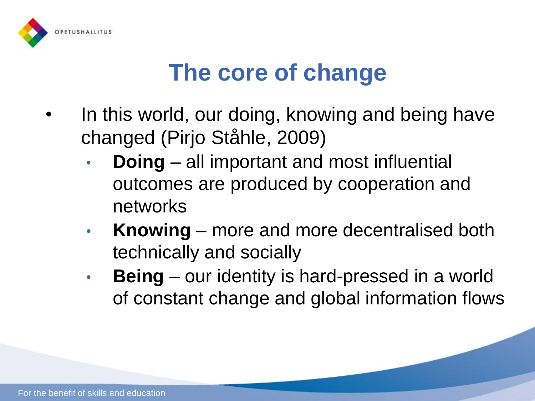

### **The core of change**

- In this world, our doing, knowing and being have changed (Pirjo Ståhle, 2009)
	- **Doing** all important and most influential outcomes are produced by cooperation and networks
	- **Knowing** more and more decentralised both technically and socially
	- **Being** our identity is hard-pressed in a world of constant change and global information flows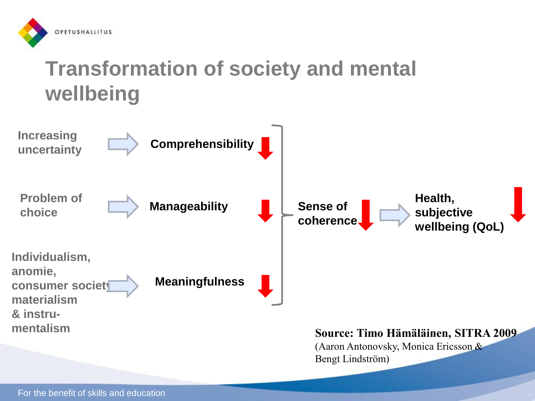

#### **Transformation of society and mental wellbeing**

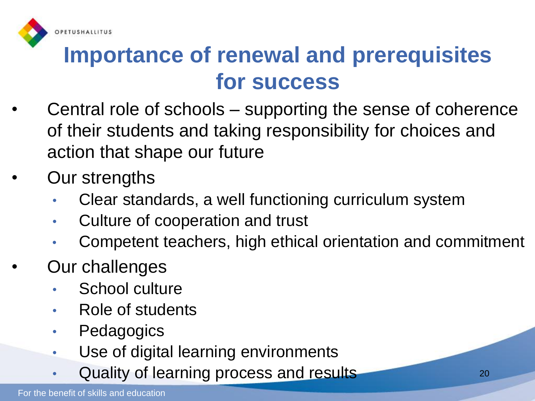

#### **Importance of renewal and prerequisites for success**

- Central role of schools supporting the sense of coherence of their students and taking responsibility for choices and action that shape our future
- Our strengths
	- Clear standards, a well functioning curriculum system
	- Culture of cooperation and trust
	- Competent teachers, high ethical orientation and commitment
- Our challenges
	- School culture
	- Role of students
	- Pedagogics
	- Use of digital learning environments
	- Quality of learning process and results **Exercise 20** 20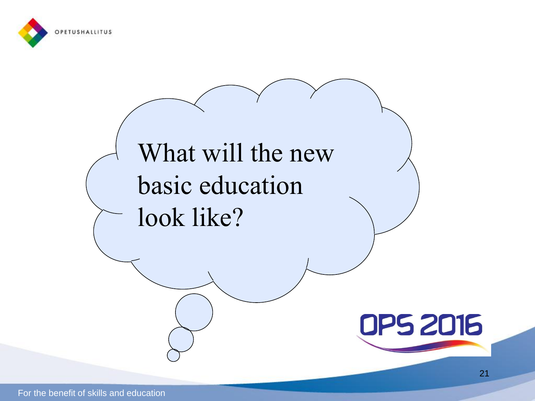

# What will the new basic education look like?



21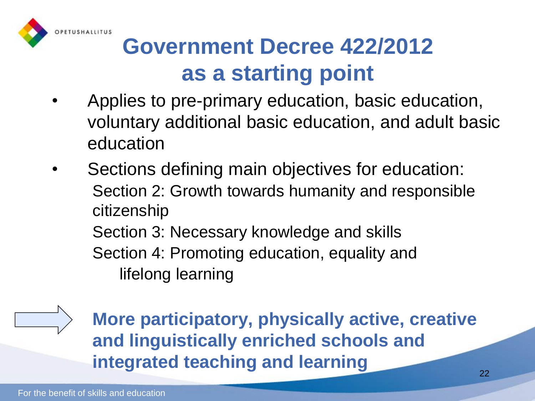

### **Government Decree 422/2012 as a starting point**

- Applies to pre-primary education, basic education, voluntary additional basic education, and adult basic education
- Sections defining main objectives for education: Section 2: Growth towards humanity and responsible citizenship Section 3: Necessary knowledge and skills Section 4: Promoting education, equality and lifelong learning



**More participatory, physically active, creative and linguistically enriched schools and integrated teaching and learning**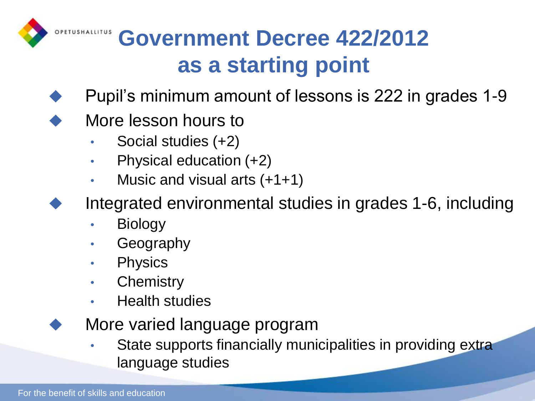

#### **GOVERNMENT Decree 422/2012 as a starting point**

- Pupil's minimum amount of lessons is 222 in grades 1-9
- More lesson hours to
	- Social studies (+2)
	- Physical education (+2)
	- Music and visual arts  $(+1+1)$
	- Integrated environmental studies in grades 1-6, including
		- **Biology**
		- **Geography**
		- Physics
		- Chemistry
		- Health studies
	- More varied language program
		- State supports financially municipalities in providing extra language studies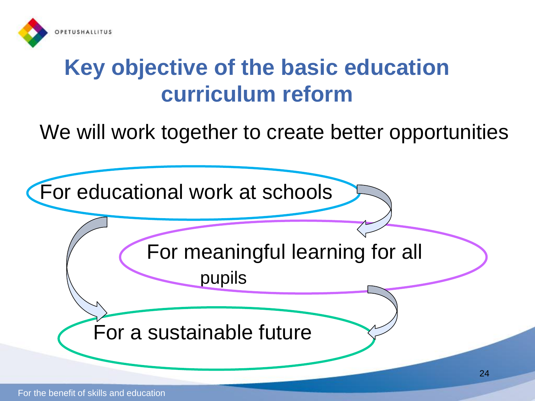

#### **Key objective of the basic education curriculum reform**

#### We will work together to create better opportunities

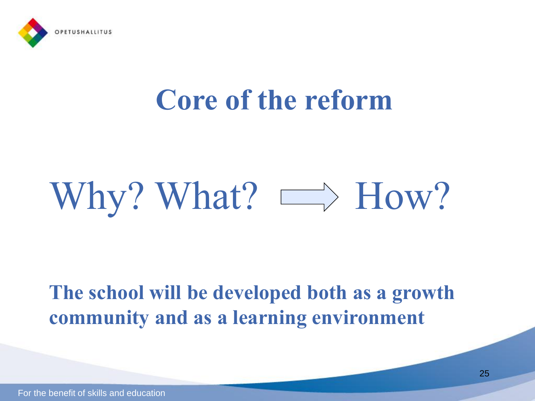

# **Core of the reform**

# Why? What?  $\implies$  How?

#### **The school will be developed both as a growth community and as a learning environment**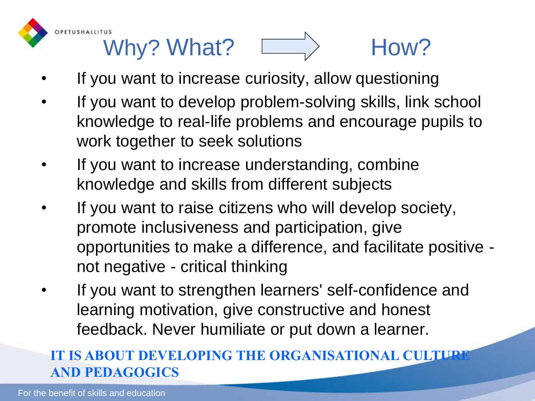

# Why? What?  $\Box$  How?

- If you want to increase curiosity, allow questioning
- If you want to develop problem-solving skills, link school knowledge to real-life problems and encourage pupils to work together to seek solutions
- If you want to increase understanding, combine knowledge and skills from different subjects
- If you want to raise citizens who will develop society, promote inclusiveness and participation, give opportunities to make a difference, and facilitate positive not negative - critical thinking
- If you want to strengthen learners' self-confidence and learning motivation, give constructive and honest feedback. Never humiliate or put down a learner.

#### **IT IS ABOUT DEVELOPING THE ORGANISATIONAL CULTURE AND PEDAGOGICS**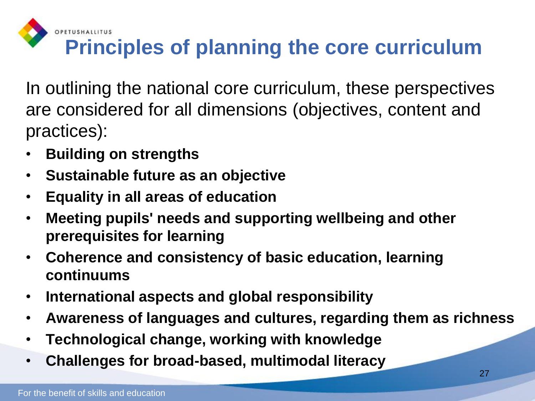

### **Principles of planning the core curriculum**

In outlining the national core curriculum, these perspectives are considered for all dimensions (objectives, content and practices):

- **Building on strengths**
- **Sustainable future as an objective**
- **Equality in all areas of education**
- **Meeting pupils' needs and supporting wellbeing and other prerequisites for learning**
- **Coherence and consistency of basic education, learning continuums**
- **International aspects and global responsibility**
- **Awareness of languages and cultures, regarding them as richness**
- **Technological change, working with knowledge**
- **Challenges for broad-based, multimodal literacy**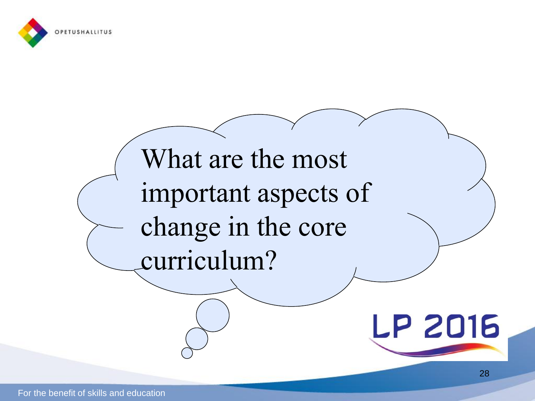



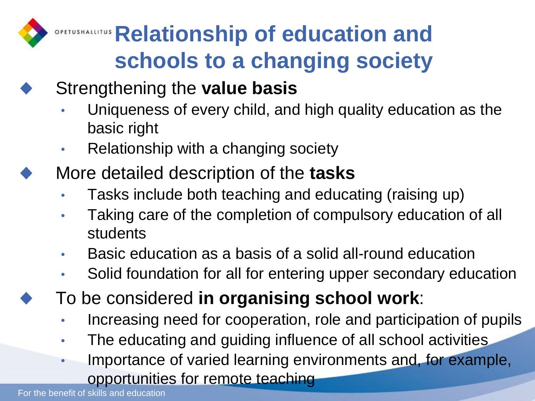## **OPETUSHALLITUS Relationship of education and schools to a changing society**

#### Strengthening the **value basis**

- Uniqueness of every child, and high quality education as the basic right
- Relationship with a changing society
- More detailed description of the **tasks** 
	- Tasks include both teaching and educating (raising up)
	- Taking care of the completion of compulsory education of all students
	- Basic education as a basis of a solid all-round education
	- Solid foundation for all for entering upper secondary education
	- To be considered **in organising school work**:
		- Increasing need for cooperation, role and participation of pupils
		- The educating and guiding influence of all school activities
		- Importance of varied learning environments and, for example, opportunities for remote teaching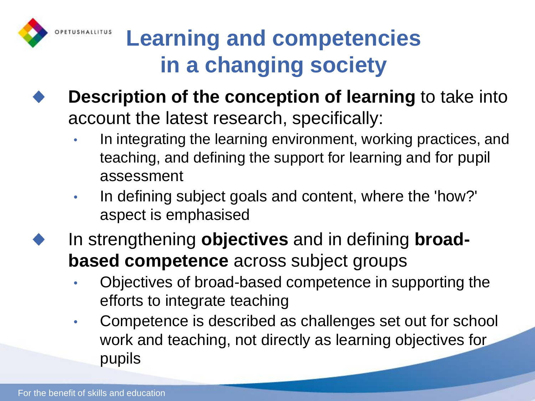

### **Learning and competencies in a changing society**

- **Description of the conception of learning** to take into account the latest research, specifically:
	- In integrating the learning environment, working practices, and teaching, and defining the support for learning and for pupil assessment
	- In defining subject goals and content, where the 'how?' aspect is emphasised
- In strengthening **objectives** and in defining **broadbased competence** across subject groups
	- Objectives of broad-based competence in supporting the efforts to integrate teaching
	- Competence is described as challenges set out for school work and teaching, not directly as learning objectives for pupils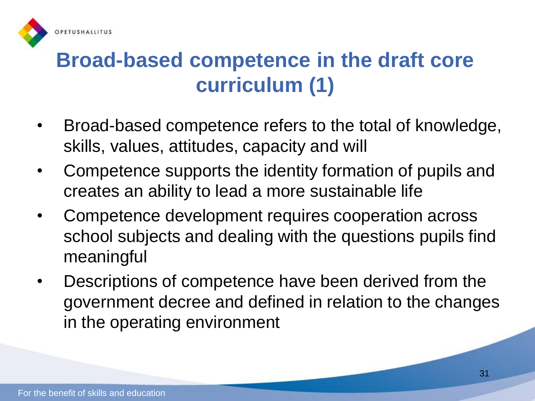

#### **Broad-based competence in the draft core curriculum (1)**

- Broad-based competence refers to the total of knowledge, skills, values, attitudes, capacity and will
- Competence supports the identity formation of pupils and creates an ability to lead a more sustainable life
- Competence development requires cooperation across school subjects and dealing with the questions pupils find meaningful
- Descriptions of competence have been derived from the government decree and defined in relation to the changes in the operating environment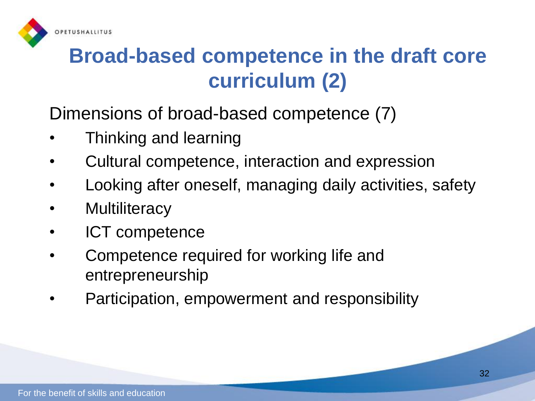

#### **Broad-based competence in the draft core curriculum (2)**

Dimensions of broad-based competence (7)

- Thinking and learning
- Cultural competence, interaction and expression
- Looking after oneself, managing daily activities, safety
- **Multiliteracy**
- ICT competence
- Competence required for working life and entrepreneurship
- Participation, empowerment and responsibility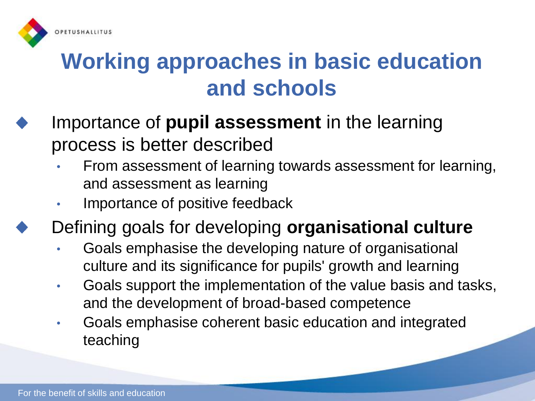

#### **Working approaches in basic education and schools**

- Importance of **pupil assessment** in the learning process is better described
	- From assessment of learning towards assessment for learning, and assessment as learning
	- Importance of positive feedback
	- Defining goals for developing **organisational culture**
		- Goals emphasise the developing nature of organisational culture and its significance for pupils' growth and learning
		- Goals support the implementation of the value basis and tasks, and the development of broad-based competence
		- Goals emphasise coherent basic education and integrated teaching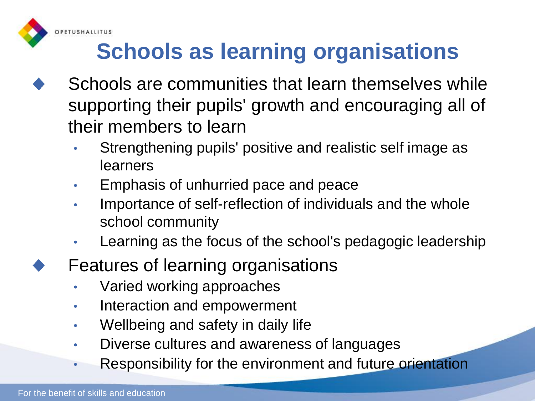

## **Schools as learning organisations**

- Schools are communities that learn themselves while supporting their pupils' growth and encouraging all of their members to learn
	- Strengthening pupils' positive and realistic self image as learners
	- Emphasis of unhurried pace and peace
	- Importance of self-reflection of individuals and the whole school community
	- Learning as the focus of the school's pedagogic leadership
	- Features of learning organisations
		- Varied working approaches
		- Interaction and empowerment
		- Wellbeing and safety in daily life
		- Diverse cultures and awareness of languages
		- Responsibility for the environment and future orientation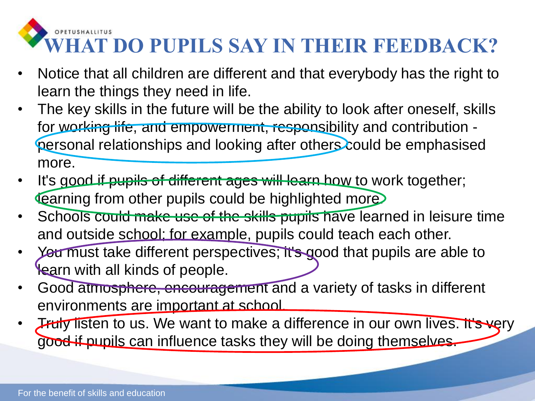#### OPETUSHALLITUS **WHAT DO PUPILS SAY IN THEIR FEEDBACK?**

- Notice that all children are different and that everybody has the right to learn the things they need in life.
- The key skills in the future will be the ability to look after oneself, skills for working life, and empowerment, responsibility and contribution personal relationships and looking after others could be emphasised more.
- It's good if pupils of different ages will learn how to work together; **Learning from other pupils could be highlighted more.**
- Schools could make use of the skills pupils have learned in leisure time and outside school; for example, pupils could teach each other.
- Yea must take different perspectives; it's good that pupils are able to learn with all kinds of people.
- Good atmosphere, encouragement and a variety of tasks in different environments are important at school.
- **Truly listen to us. We want to make a difference in our own lives. It's very** good if pupils can influence tasks they will be doing themselves.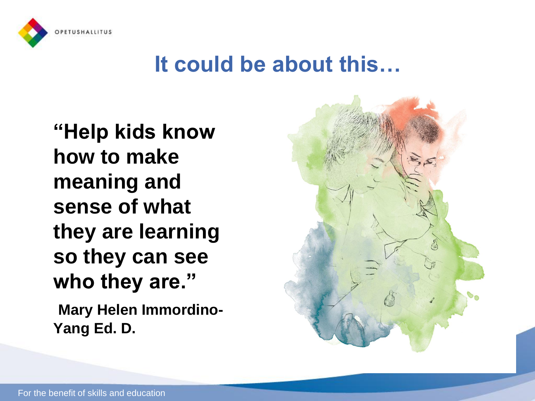

#### **It could be about this…**

**"Help kids know how to make meaning and sense of what they are learning so they can see who they are." Mary Helen Immordino-Yang Ed. D.**